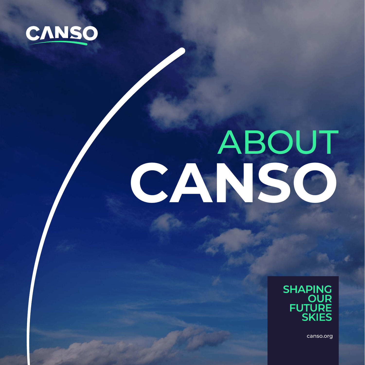

# CANSO



canso.org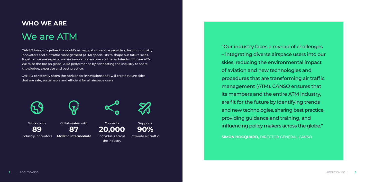# **WHO WE ARE** We are ATM

CANSO brings together the world's air navigation service providers, leading industry innovators and air traffic management (ATM) specialists to shape our future skies. Together we are experts, we are innovators and we are the architects of future ATM. We raise the bar on global ATM performance by connecting the industry to share knowledge, expertise and best practice.

CANSO constantly scans the horizon for innovations that will create future skies that are safe, sustainable and efficient for all airspace users.





"Our industry faces a myriad of challenges – integrating diverse airspace users into our skies, reducing the environmental impact of aviation and new technologies and procedures that are transforming air traffic management (ATM). CANSO ensures that its members and the entire ATM industry, are fit for the future by identifying trends and new technologies, sharing best practice, providing guidance and training, and influencing policy makers across the globe." **SIMON HOCQUARD,** DIRECTOR GENERAL CANSO

Works with

industry innovators



**ANSPS 1 intermediate**



**Connects** 

the industry



individuals across of world air traffic



**89 87 20,000 90%**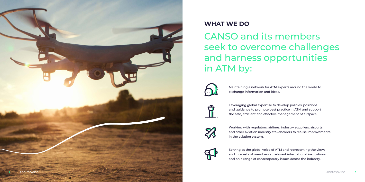# **WHAT WE DO**

CANSO and its members seek to overcome challenges and harness opportunities in ATM by:



Maintaining a network for ATM experts around the world to exchange information and ideas.



Leveraging global expertise to develop policies, positions and guidance to promote best practice in ATM and support the safe, efficient and effective management of airspace.



Working with regulators, airlines, industry suppliers, airports and other aviation industry stakeholders to realise improvements in the aviation system.



Serving as the global voice of ATM and representing the views and interests of members at relevant international institutions and on a range of contemporary issues across the industry.

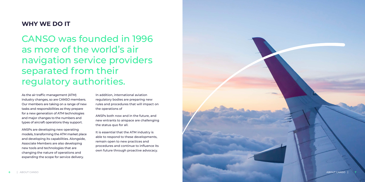# **WHY WE DO IT**

CANSO was founded in 1996 as more of the world's air navigation service providers separated from their regulatory authorities.

As the air traffic management (ATM) industry changes, so are CANSO members. Our members are taking on a range of new tasks and responsibilities as they prepare for a new generation of ATM technologies and major changes to the numbers and types of aircraft operations they support.

ANSPs are developing new operating models, transforming the ATM market place and developing its capabilities. Alongside, Associate Members are also developing new tools and technologies that are changing the nature of operations and expanding the scope for service delivery.

In addition, international aviation regulatory bodies are preparing new rules and procedures that will impact on the operations of

ANSPs both now and in the future, and new entrants to airspace are challenging the status quo for all.

It is essential that the ATM industry is able to respond to these developments, remain open to new practices and procedures and continue to influence its own future through proactive advocacy.

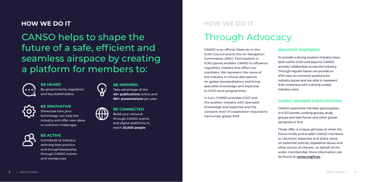CANSO helps to shape the future of a safe, efficient and seamless airspace by creating a platform for members to:



**BE HEARD** By governments, regulators and key stakeholders



**BE INNOVATIVE**

Showcase how your technology can help the industry and offer new ideas to common challenges



# **BE ACTIVE** Contribute to industry-

defining best practice and thoughtleadership through CANSO events and workgroups



# Through Advocacy

CANSO is an official Observer to the ICAO Council and to the Air Navigation Commission (ANC). Participation in ICAO panels enables CANSO to influence regulatory matters that affect our members. We represent the views of the industry in critical discussions on global standardisation and bring specialist knowledge and expertise to ICAO work programmes.

In turn, CANSO provides ICAO and the aviation industry with specialist knowledge and expertise and the constant level of cooperation required to harmonise global ATM.

### **INDUSTRY PARTNERS**

To provide a strong aviation industry voice, both within ICAO and beyond, CANSO actively collaborates across the industry. Through regular liaison we provide an ATM view on common positions for industry issues and are able to represent that consensus with a strong united industry voice.

# **CANSO MEMBER PARTICIPATION**

CANSO welcomes member participation in ICAO panels, working groups, study groups and task forces and other global symposia or fora.

These offer a unique glimpse at what the future holds and enable CANSO members to volunteer expertise and share views on potential policies, legislative issues and other points of interest, on behalf of the wider membership. More information can be found at **[canso.org/icao](http://canso.org/icao).**

**BE INSPIRED** Take advantage of the **40+ publications** online and **160+ presentations** per year



**BE CONNECTED** Build your network through CANSO events and digital platforms to reach **20,000 people**

# **HOW WE DO IT HOW WE DO IT**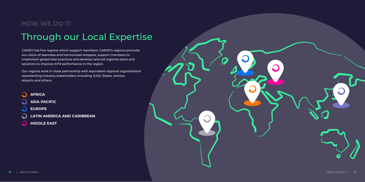CANSO has five regions which support members. CANSO's regions promote our vision of seamless and harmonised airspace, support members to implement global best practices and develop tailored regional plans and solutions to improve ATM performance in the region.

### $\Omega$ **AFRICA**

# Through our Local Expertise **HOW WE DO IT**

Our regions work in close partnership with equivalent regional organisations representing industry stakeholders including ICAO, States, airlines, airports and others.

**ASIA PACIFIC**

- **EUROPE**
- **LATIN AMERICA AND CARIBBEAN**
- $\Omega$ **MIDDLE EAST**



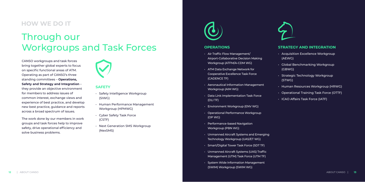### **OPERATIONS**

- Air Traffic Flow Management/ Airport-Collaborative Decision Making Workgroup (ATFM/A-CDM WG)
- ATM Data Exchange Network for Cooperative Excellence Task Force (CADENCE TF)
- Aeronautical Information Management Workgroup (AIM WG)
- Data Link Implementation Task Force (DLI TF)
- Environment Workgroup (ENV WG)
- Operational Performance Workgroup (OP WG)
- Performance-based Navigation Workgroup (PBN WG)
- Unmanned Aircraft Systems and Emerging Technology Workgroup (UAS/ET WG)
- Smart/Digital Tower Task Force (SDT TF)
- Unmanned Aircraft Systems (UAS) Traffic Management (UTM) Task Force (UTM TF)
- System Wide Information Management (SWIM) Workgroup (SWIM WG)



## **STRATEGY AND INTEGRATION**

- Acquisition Excellence Workgroup (AEWG)
- Global Benchmarking Workgroup (GBWG)
- Strategic Technology Workgroup (STWG)
- Human Resources Workgroup (HRWG)
- Operational Training Task Force (OTTF)
- ICAO Affairs Task Force (IATF)

# Through our Workgroups and Task Forces

CANSO workgroups and task forces bring together global experts to focus on specific functional areas of ATM. Operating as part of CANSO's three standing committees – **Operations, Safety and Strategy and Integration** – they provide an objective environment for members to address issues of common interest, exchange views and experience of best practice, and develop new best practice, guidance and reports across a broad spectrum of issues.

The work done by our members in work groups and task forces help to improve safety, drive operational efficiency and solve business problems.



# **SAFETY**

- Safety Intelligence Workgroup (SIWG)
- Human Performance Management Workgroup (HPMWG)
- Cyber Safety Task Force (CSTF)
- Next Generation SMS Workgroup (NexSMS)



# **HOW WE DO IT**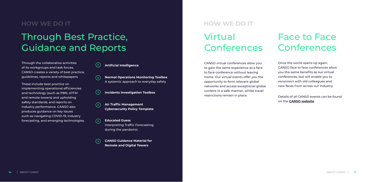# Through Best Practice, Guidance and Reports

Through the collaborative activities of its workgroups and task forces, CANSO creates a variety of best practice, guidelines, reports and whitepapers.

These include best practice on implementing operational efficiencies and technology (such as PBN, ATFM and remote towers) and upholding safety standards; and reports on industry performance. CANSO also produces guidance on key issues such as navigating COVID-19, industry forecasting, and emerging technologies.

# Virtual Conferences

# Face to Face Conferences

- $(\rangle)$ **Artificial Intelligence**
- **Normal Operations Monitoring Toolbox**  $\circ$ A systemic approach to everyday safety
- $(\Sigma)$ **Incidents Investigation Toolbox**
- **Air Traffic Management**   $\Omega$ **Cybersecurity Policy Template**
- **Educated Guess**  $(\Sigma)$ Interpreting Traffic Forecasting during the pandemic

CANSO virtual conferences allow you to gain the same experience as a face to face conference without leaving home. Our virtual events offer you the opportunity to form relevant global networks and access exceptional global content in a safe manner, whilst travel restrictions remain in place.

Once the world opens up again, CANSO face to face conferences allow you the same benefits as our virtual conferences, but will enable you to reconnect with old colleagues and new faces from across our industry.

Details of all CANSO events can be found on the **[CANSO website](https://canso.org/events)**.

# **HOW WE DO IT HOW WE DO IT**

**CANSO Guidance Material for Remote and Digital Towers**

 $($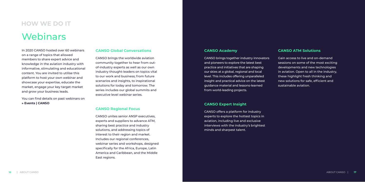### **CANSO Academy**

CANSO brings together industry innovators and pioneers to explore the latest best practice and initiatives that are shaping our skies at a global, regional and local level. This includes offering unparalleled insight and practical advice on the latest guidance material and lessons-learned from world-leading projects.

### **CANSO Expert Insight**

CANSO offers a platform for industry experts to explore the hottest topics in aviation, including live and exclusive interviews with the industry's brightest minds and sharpest talent.

# **CANSO ATM Solutions**

Gain access to live and on-demand sessions on some of the most exciting developments and new technologies in aviation. Open to all in the industry, these highlight fresh thinking and new solutions for safe, efficient and sustainable aviation.

# **Webinars HOW WE DO IT**

In 2020 CANSO hosted over 60 webinars on a range of topics that allowed members to share expert advice and knowledge in the aviation industry with informative, stimulating and educational content. You are invited to utilise this platform to host your own webinar and showcase your expertise, educate the market, engage your key target market and grow your business leads.

You can find details on past webinars on **[» Events | CANSO](https://canso.org/events/)**

### **CANSO Global Conversations**

CANSO brings the worldwide aviation community together to hear from outof-industry experts as well as our own industry thought-leaders on topics vital to our work and business; from future scenarios and insights, to inspirational solutions for today and tomorrow. The series includes our global summits and executive level webinar series.

### **CANSO Regional Focus**

CANSO unites senior ANSP executives, experts and suppliers to advance ATM, sharing best practice and industry solutions, and addressing topics of interest to their region and market. Includes our regional conferences, webinar series and workshops, designed specifically for the Africa, Europe, Latin America and Caribbean, and the Middle East regions.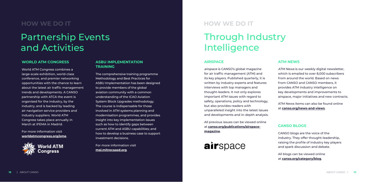# **HOW WE DO IT HOW WE DO IT**

# Partnership Events and Activities

### **WORLD ATM CONGRESS**

World ATM Congress combines a large-scale exhibition, world-class conference, and premier networking opportunities with the chance to learn about the latest air traffic management trends and developments. A CANSO partnership with ATCA the event is organised for the industry, by the industry, and is backed by leading air navigation service providers and industry suppliers. World ATM Congress takes place annually in March at IFEMA in Madrid.

For more information visit **[worldatmcongress.org/ome](http://worldatmcongress.org/ome)**.



### **ASBU IMPLEMENTATION TRAINING**

The comprehensive training programme Methodology and Best Practices for ASBU Implementation has been designed to provide members of the global aviation community with a common understanding of the ICAO Aviation System Block Upgrades methodology. The course is indispensable for those involved in ATM systems planning and modernisation programmes, and provides insight into key implementation issues such as how to identify gaps between current ATM and ASBU capabilities; and how to develop a business case to support investment decisions.

ATM News is our weekly digital newsletter, which is emailed to over 8,000 subscribers from around the world. Based on news from CANSO and CANSO members, it provides ATM industry intelligence on key developments and improvements to airspace, major initiatives and new contracts.

For more information visit **[mai.mitrecaasd.org](http://mai.mitrecaasd.org)**.

# Through Industry Intelligence

### **AIRSPACE**

airspace is CANSO's global magazine for air traffic management (ATM) and its key players. Published quarterly, it is written by industry experts and features interviews with top managers and thought-leaders. It not only explores important ATM issues with regard to safety, operations, policy and technology, but also provides readers with unparalleled insight into the latest issues and developments and in-depth analysis.

All previous issues can be viewed online at **[canso.org/publications/airspace](http://canso.org/publications/airspace-magazine/)[magazine](http://canso.org/publications/airspace-magazine/)**.



# **ATM NEWS**

ATM News items can also be found online at **[canso.org/news-and-views](http://canso.org/news-and-views/)**.

### **CANSO BLOGS**

CANSO blogs are the voice of the industry. They offer thought-leadership, raising the profile of industry key players and spark discussion and debate.

All blogs can be viewed online at **[canso.org/category/blog](http://canso.org/category/blog/)**.